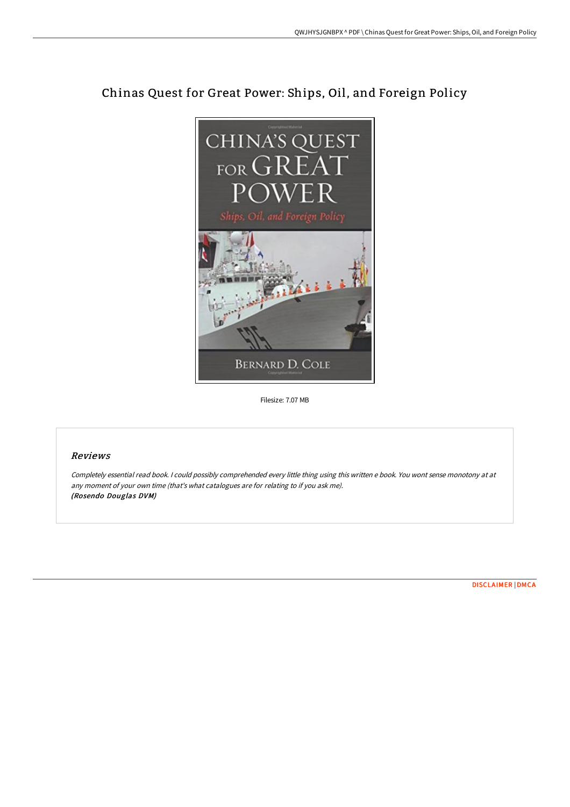

# Chinas Quest for Great Power: Ships, Oil, and Foreign Policy

Filesize: 7.07 MB

## Reviews

Completely essential read book. I could possibly comprehended every little thing using this written <sup>e</sup> book. You wont sense monotony at at any moment of your own time (that's what catalogues are for relating to if you ask me). (Rosendo Douglas DVM)

[DISCLAIMER](http://albedo.media/disclaimer.html) | [DMCA](http://albedo.media/dmca.html)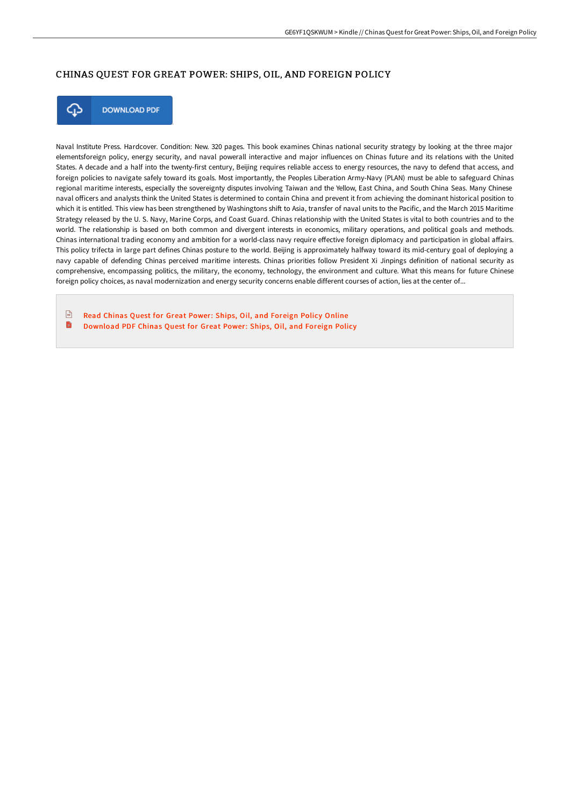## CHINAS QUEST FOR GREAT POWER: SHIPS, OIL, AND FOREIGN POLICY



**DOWNLOAD PDF** 

Naval Institute Press. Hardcover. Condition: New. 320 pages. This book examines Chinas national security strategy by looking at the three major elementsforeign policy, energy security, and naval powerall interactive and major influences on Chinas future and its relations with the United States. A decade and a half into the twenty-first century, Beijing requires reliable access to energy resources, the navy to defend that access, and foreign policies to navigate safely toward its goals. Most importantly, the Peoples Liberation Army-Navy (PLAN) must be able to safeguard Chinas regional maritime interests, especially the sovereignty disputes involving Taiwan and the Yellow, East China, and South China Seas. Many Chinese naval officers and analysts think the United States is determined to contain China and prevent it from achieving the dominant historical position to which it is entitled. This view has been strengthened by Washingtons shift to Asia, transfer of naval units to the Pacific, and the March 2015 Maritime Strategy released by the U. S. Navy, Marine Corps, and Coast Guard. Chinas relationship with the United States is vital to both countries and to the world. The relationship is based on both common and divergent interests in economics, military operations, and political goals and methods. Chinas international trading economy and ambition for a world-class navy require effective foreign diplomacy and participation in global affairs. This policy trifecta in large part defines Chinas posture to the world. Beijing is approximately halfway toward its mid-century goal of deploying a navy capable of defending Chinas perceived maritime interests. Chinas priorities follow President Xi Jinpings definition of national security as comprehensive, encompassing politics, the military, the economy, technology, the environment and culture. What this means for future Chinese foreign policy choices, as naval modernization and energy security concerns enable different courses of action, lies at the center of...

 $\sqrt{m}$ Read Chinas Quest for Great Power: Ships, Oil, and [Foreign](http://albedo.media/chinas-quest-for-great-power-ships-oil-and-forei.html) Policy Online B [Download](http://albedo.media/chinas-quest-for-great-power-ships-oil-and-forei.html) PDF Chinas Quest for Great Power: Ships, Oil, and Foreign Policy